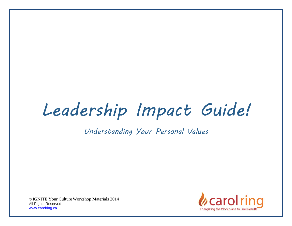# *Leadership Impact Guide!*

*Understanding Your Personal Values*

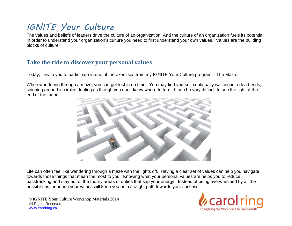## *IGNITE Your Culture*

The values and beliefs of leaders drive the culture of an organization. And the culture of an organization fuels its potential. In order to understand your organization's culture you need to first understand your own values. Values are the building blocks of culture.

#### **Take the ride to discover your personal values**

Today, I invite you to participate in one of the exercises from my IGNITE Your Culture program – The Maze.

When wandering through a maze, you can get lost in no time. You may find yourself continually walking into dead ends, spinning around in circles, feeling as though you don't know where to turn. It can be very difficult to see the light at the end of the tunnel.



Life can often feel like wandering through a maze with the lights off. Having a clear set of values can help you navigate towards those things that mean the most to you. Knowing what your personal values are helps you to reduce backtracking and stay out of the thorny areas of duties that sap your energy. Instead of being overwhelmed by all the possibilities, honoring your values will keep you on a straight path towards your success.

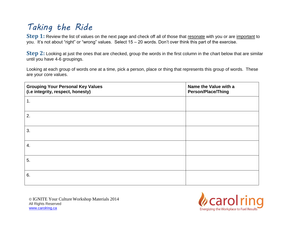## *Taking the Ride*

**Step 1:** Review the list of values on the next page and check off all of those that resonate with you or are important to you. It's not about "right" or "wrong" values. Select 15 – 20 words. Don't over think this part of the exercise.

**Step 2:** Looking at just the ones that are checked, group the words in the first column in the chart below that are similar until you have 4-6 groupings.

Looking at each group of words one at a time, pick a person, place or thing that represents this group of words. These are your core values.

| <b>Grouping Your Personal Key Values</b><br>(i.e integrity, respect, honesty) | Name the Value with a<br><b>Person/Place/Thing</b> |
|-------------------------------------------------------------------------------|----------------------------------------------------|
| 1.                                                                            |                                                    |
| 2.                                                                            |                                                    |
| 3.                                                                            |                                                    |
| 4.                                                                            |                                                    |
| 5.                                                                            |                                                    |
| 6.                                                                            |                                                    |

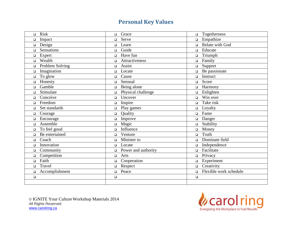#### **Personal Key Values**

| <b>Risk</b>     | Grace               | Togetherness           |
|-----------------|---------------------|------------------------|
| $\Box$          | $\Box$              | $\Box$                 |
| Impact          | Serve               | Empathize              |
| $\Box$          | $\Box$              | $\Box$                 |
| Design          | Learn               | Relate with God        |
| $\Box$          | $\Box$              | $\Box$                 |
| Sensations      | Guide               | Educate                |
| $\Box$          | $\Box$              | $\Box$                 |
| Expert          | Have fun            | Triumph                |
| $\Box$          | $\Box$              | $\Box$                 |
| Wealth          | Attractiveness      | Family                 |
| $\Box$          | $\Box$              | $\Box$                 |
| Problem Solving | Assist              | Support                |
| $\Box$          | $\Box$              | $\Box$                 |
| Imagination     | Locate              | Be passionate          |
| $\Box$          | $\Box$              | $\Box$                 |
| To glow         | Cause               | Instruct               |
| $\Box$          | $\Box$              | $\Box$                 |
| Honesty         | Sensual             | Score                  |
| $\Box$          | $\Box$              | $\Box$                 |
| Gamble          | Being alone         | Harmony                |
| $\Box$          | $\Box$              | $\Box$                 |
| Stimulate       | Physical challenge  | Enlighten              |
| $\Box$          | $\Box$              | $\Box$                 |
| Conceive        | Uncover             | Win over               |
| $\Box$          | $\Box$              | $\Box$                 |
| Freedom         | Inspire             | Take risk              |
| $\Box$          | $\Box$              | $\Box$                 |
| Set standards   | Play games          | Loyalty                |
| $\Box$          | $\Box$              | $\Box$                 |
| Courage         | Quality             | Fame                   |
| $\Box$          | $\Box$              | $\Box$                 |
| Encourage       | Improve             | Danger                 |
| $\Box$          | $\Box$              | $\Box$                 |
| Assemble        | Magic               | Stability              |
| $\Box$          | $\Box$              | $\Box$                 |
| To feel good    | Influence           | Money                  |
| $\Box$          | $\Box$              | $\Box$                 |
| Be entertained  | Venture             | Truth                  |
| $\Box$          | $\Box$              | $\Box$                 |
| Coach           | Minister to         | Dominate field         |
| $\Box$          | $\Box$              | $\Box$                 |
| Innovation      | Locate              | Independence           |
| $\Box$          | $\Box$              | $\Box$                 |
| Community       | Power and authority | Facilitate             |
| $\Box$          | $\Box$              | $\Box$                 |
| Competition     | Arts                | Privacy                |
| $\Box$          | $\Box$              | $\Box$                 |
| Faith           | Cooperation         | Experiment             |
| $\Box$          | $\Box$              | $\Box$                 |
| Travel          | Respect             | Creativity             |
| $\Box$          | $\Box$              | $\Box$                 |
| Accomplishment  | Peace               | Flexible work schedule |
| $\Box$          | $\Box$              | $\Box$                 |
| $\Box$          | $\Box$              | $\Box$                 |
|                 |                     |                        |
|                 |                     |                        |

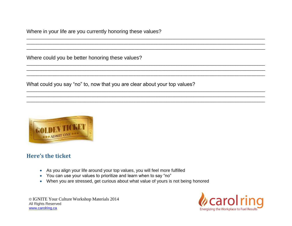Where in your life are you currently honoring these values?

Where could you be better honoring these values?

What could you say "no" to, now that you are clear about your top values?

 $\overline{a}$  , and the set of the set of the set of the set of the set of the set of the set of the set of the set of the set of the set of the set of the set of the set of the set of the set of the set of the set of the set  $\overline{a}$  , and the set of the set of the set of the set of the set of the set of the set of the set of the set of the set of the set of the set of the set of the set of the set of the set of the set of the set of the set \_\_\_\_\_\_\_\_\_\_\_\_\_\_\_\_\_\_\_\_\_\_\_\_\_\_\_\_\_\_\_\_\_\_\_\_\_\_\_\_\_\_\_\_\_\_\_\_\_\_\_\_\_\_\_\_\_\_\_\_\_\_\_\_\_\_\_\_\_\_\_\_\_\_\_\_\_\_\_\_\_\_\_\_\_\_\_\_\_\_\_\_\_\_\_\_\_

\_\_\_\_\_\_\_\_\_\_\_\_\_\_\_\_\_\_\_\_\_\_\_\_\_\_\_\_\_\_\_\_\_\_\_\_\_\_\_\_\_\_\_\_\_\_\_\_\_\_\_\_\_\_\_\_\_\_\_\_\_\_\_\_\_\_\_\_\_\_\_\_\_\_\_\_\_\_\_\_\_\_\_\_\_\_\_\_\_\_\_\_\_\_\_\_\_  $\overline{a}$  , and the set of the set of the set of the set of the set of the set of the set of the set of the set of the set of the set of the set of the set of the set of the set of the set of the set of the set of the set  $\overline{a}$  , and the set of the set of the set of the set of the set of the set of the set of the set of the set of the set of the set of the set of the set of the set of the set of the set of the set of the set of the set

\_\_\_\_\_\_\_\_\_\_\_\_\_\_\_\_\_\_\_\_\_\_\_\_\_\_\_\_\_\_\_\_\_\_\_\_\_\_\_\_\_\_\_\_\_\_\_\_\_\_\_\_\_\_\_\_\_\_\_\_\_\_\_\_\_\_\_\_\_\_\_\_\_\_\_\_\_\_\_\_\_\_\_\_\_\_\_\_\_\_\_\_\_\_\_\_\_  $\overline{a}$  , and the set of the set of the set of the set of the set of the set of the set of the set of the set of the set of the set of the set of the set of the set of the set of the set of the set of the set of the set  $\overline{a}$  , and the set of the set of the set of the set of the set of the set of the set of the set of the set of the set of the set of the set of the set of the set of the set of the set of the set of the set of the set



#### **Here's the ticket**

- As you align your life around your top values, you will feel more fulfilled
- You can use your values to prioritize and learn when to say "no"
- When you are stressed, get curious about what value of yours is not being honored

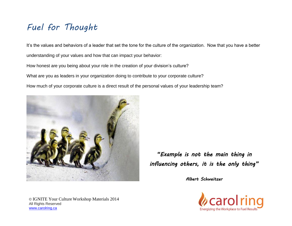### *Fuel for Thought*

It's the values and behaviors of a leader that set the tone for the culture of the organization. Now that you have a better understanding of your values and how that can impact your behavior:

How honest are you being about your role in the creation of your division's culture?

What are you as leaders in your organization doing to contribute to your corporate culture?

How much of your corporate culture is a direct result of the personal values of your leadership team?



*"Example is not the main thing in influencing others, it is the only thing"* 

*Albert Schweitzer*